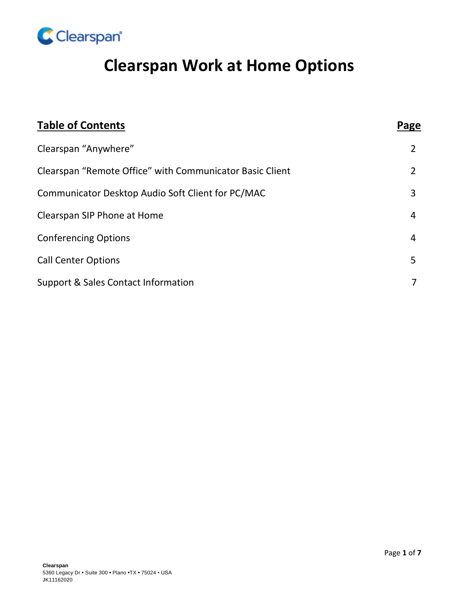

# **Clearspan Work at Home Options**

| <b>Table of Contents</b>                                 | Page           |
|----------------------------------------------------------|----------------|
| Clearspan "Anywhere"                                     | 2              |
| Clearspan "Remote Office" with Communicator Basic Client | $\overline{2}$ |
| Communicator Desktop Audio Soft Client for PC/MAC        | 3              |
| Clearspan SIP Phone at Home                              | 4              |
| <b>Conferencing Options</b>                              | $\overline{4}$ |
| <b>Call Center Options</b>                               | 5              |
| Support & Sales Contact Information                      | 7              |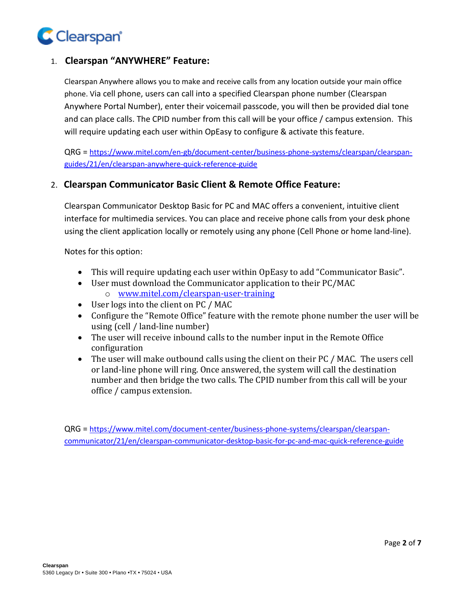

## 1. **Clearspan "ANYWHERE" Feature:**

Clearspan Anywhere allows you to make and receive calls from any location outside your main office phone. Via cell phone, users can call into a specified Clearspan phone number (Clearspan Anywhere Portal Number), enter their voicemail passcode, you will then be provided dial tone and can place calls. The CPID number from this call will be your office / campus extension. This will require updating each user within OpEasy to configure & activate this feature.

QRG = [https://www.mitel.com/en-gb/document-center/business-phone-systems/clearspan/clearspan](https://www.mitel.com/en-gb/document-center/business-phone-systems/clearspan/clearspan-guides/21/en/clearspan-anywhere-quick-reference-guide)[guides/21/en/clearspan-anywhere-quick-reference-guide](https://www.mitel.com/en-gb/document-center/business-phone-systems/clearspan/clearspan-guides/21/en/clearspan-anywhere-quick-reference-guide)

#### 2. **Clearspan Communicator Basic Client & Remote Office Feature:**

Clearspan Communicator Desktop Basic for PC and MAC offers a convenient, intuitive client interface for multimedia services. You can place and receive phone calls from your desk phone using the client application locally or remotely using any phone (Cell Phone or home land-line).

Notes for this option:

- This will require updating each user within OpEasy to add "Communicator Basic".
- User must download the Communicator application to their PC/MAC o [www.mitel.com/clearspan-user-training](http://www.mitel.com/clearspan-user-training)
- User logs into the client on PC / MAC
- Configure the "Remote Office" feature with the remote phone number the user will be using (cell / land-line number)
- The user will receive inbound calls to the number input in the Remote Office configuration
- The user will make outbound calls using the client on their PC / MAC. The users cell or land-line phone will ring. Once answered, the system will call the destination number and then bridge the two calls. The CPID number from this call will be your office / campus extension.

QRG = [https://www.mitel.com/document-center/business-phone-systems/clearspan/clearspan](https://www.mitel.com/document-center/business-phone-systems/clearspan/clearspan-communicator/21/en/clearspan-communicator-desktop-basic-for-pc-and-mac-quick-reference-guide)[communicator/21/en/clearspan-communicator-desktop-basic-for-pc-and-mac-quick-reference-guide](https://www.mitel.com/document-center/business-phone-systems/clearspan/clearspan-communicator/21/en/clearspan-communicator-desktop-basic-for-pc-and-mac-quick-reference-guide)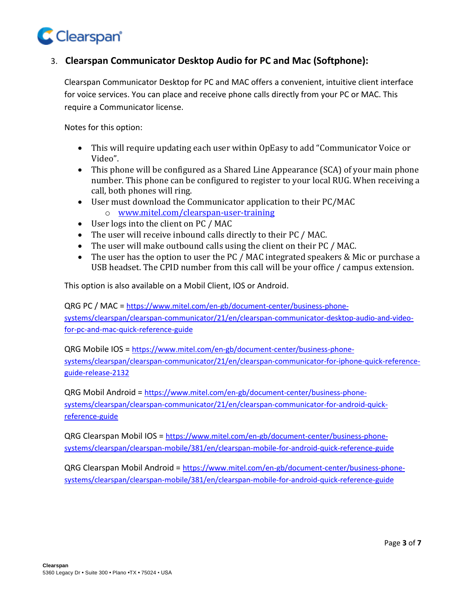

## 3. **Clearspan Communicator Desktop Audio for PC and Mac (Softphone):**

Clearspan Communicator Desktop for PC and MAC offers a convenient, intuitive client interface for voice services. You can place and receive phone calls directly from your PC or MAC. This require a Communicator license.

Notes for this option:

- This will require updating each user within OpEasy to add "Communicator Voice or Video".
- This phone will be configured as a Shared Line Appearance (SCA) of your main phone number. This phone can be configured to register to your local RUG. When receiving a call, both phones will ring.
- User must download the Communicator application to their PC/MAC o [www.mitel.com/clearspan-user-training](http://www.mitel.com/clearspan-user-training)
- User logs into the client on PC / MAC
- The user will receive inbound calls directly to their PC / MAC.
- The user will make outbound calls using the client on their PC / MAC.
- The user has the option to user the PC / MAC integrated speakers & Mic or purchase a USB headset. The CPID number from this call will be your office / campus extension.

This option is also available on a Mobil Client, IOS or Android.

QRG PC / MAC = [https://www.mitel.com/en-gb/document-center/business-phone](https://www.mitel.com/en-gb/document-center/business-phone-systems/clearspan/clearspan-communicator/21/en/clearspan-communicator-desktop-audio-and-video-for-pc-and-mac-quick-reference-guide)[systems/clearspan/clearspan-communicator/21/en/clearspan-communicator-desktop-audio-and-video](https://www.mitel.com/en-gb/document-center/business-phone-systems/clearspan/clearspan-communicator/21/en/clearspan-communicator-desktop-audio-and-video-for-pc-and-mac-quick-reference-guide)[for-pc-and-mac-quick-reference-guide](https://www.mitel.com/en-gb/document-center/business-phone-systems/clearspan/clearspan-communicator/21/en/clearspan-communicator-desktop-audio-and-video-for-pc-and-mac-quick-reference-guide)

QRG Mobile IOS = [https://www.mitel.com/en-gb/document-center/business-phone](https://www.mitel.com/en-gb/document-center/business-phone-systems/clearspan/clearspan-communicator/21/en/clearspan-communicator-for-iphone-quick-reference-guide-release-2132)[systems/clearspan/clearspan-communicator/21/en/clearspan-communicator-for-iphone-quick-reference](https://www.mitel.com/en-gb/document-center/business-phone-systems/clearspan/clearspan-communicator/21/en/clearspan-communicator-for-iphone-quick-reference-guide-release-2132)[guide-release-2132](https://www.mitel.com/en-gb/document-center/business-phone-systems/clearspan/clearspan-communicator/21/en/clearspan-communicator-for-iphone-quick-reference-guide-release-2132)

QRG Mobil Android = [https://www.mitel.com/en-gb/document-center/business-phone](https://www.mitel.com/en-gb/document-center/business-phone-systems/clearspan/clearspan-communicator/21/en/clearspan-communicator-for-android-quick-reference-guide)[systems/clearspan/clearspan-communicator/21/en/clearspan-communicator-for-android-quick](https://www.mitel.com/en-gb/document-center/business-phone-systems/clearspan/clearspan-communicator/21/en/clearspan-communicator-for-android-quick-reference-guide)[reference-guide](https://www.mitel.com/en-gb/document-center/business-phone-systems/clearspan/clearspan-communicator/21/en/clearspan-communicator-for-android-quick-reference-guide)

QRG Clearspan Mobil IOS = [https://www.mitel.com/en-gb/document-center/business-phone](https://www.mitel.com/en-gb/document-center/business-phone-systems/clearspan/clearspan-mobile/381/en/clearspan-mobile-for-android-quick-reference-guide)[systems/clearspan/clearspan-mobile/381/en/clearspan-mobile-for-android-quick-reference-guide](https://www.mitel.com/en-gb/document-center/business-phone-systems/clearspan/clearspan-mobile/381/en/clearspan-mobile-for-android-quick-reference-guide)

QRG Clearspan Mobil Android = [https://www.mitel.com/en-gb/document-center/business-phone](https://www.mitel.com/en-gb/document-center/business-phone-systems/clearspan/clearspan-mobile/381/en/clearspan-mobile-for-android-quick-reference-guide)[systems/clearspan/clearspan-mobile/381/en/clearspan-mobile-for-android-quick-reference-guide](https://www.mitel.com/en-gb/document-center/business-phone-systems/clearspan/clearspan-mobile/381/en/clearspan-mobile-for-android-quick-reference-guide)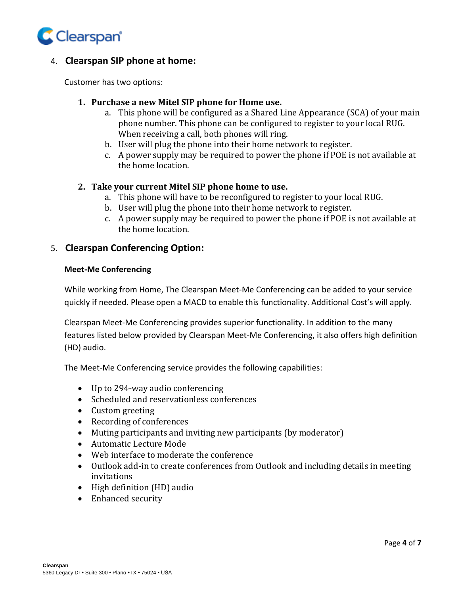

## 4. **Clearspan SIP phone at home:**

Customer has two options:

#### **1. Purchase a new Mitel SIP phone for Home use.**

- a. This phone will be configured as a Shared Line Appearance (SCA) of your main phone number. This phone can be configured to register to your local RUG. When receiving a call, both phones will ring.
- b. User will plug the phone into their home network to register.
- c. A power supply may be required to power the phone if POE is not available at the home location.

#### **2. Take your current Mitel SIP phone home to use.**

- a. This phone will have to be reconfigured to register to your local RUG.
- b. User will plug the phone into their home network to register.
- c. A power supply may be required to power the phone if POE is not available at the home location.

#### 5. **Clearspan Conferencing Option:**

#### **Meet-Me Conferencing**

While working from Home, The Clearspan Meet-Me Conferencing can be added to your service quickly if needed. Please open a MACD to enable this functionality. Additional Cost's will apply.

Clearspan Meet-Me Conferencing provides superior functionality. In addition to the many features listed below provided by Clearspan Meet-Me Conferencing, it also offers high definition (HD) audio.

The Meet-Me Conferencing service provides the following capabilities:

- Up to 294-way audio conferencing
- Scheduled and reservationless conferences
- Custom greeting
- Recording of conferences
- Muting participants and inviting new participants (by moderator)
- Automatic Lecture Mode
- Web interface to moderate the conference
- Outlook add-in to create conferences from Outlook and including details in meeting invitations
- High definition (HD) audio
- Enhanced security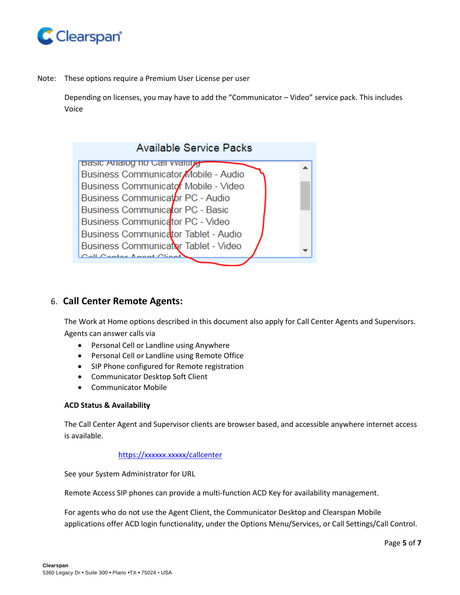

Note: These options require a Premium User License per user

Depending on licenses, you may have to add the "Communicator – Video" service pack. This includes Voice



## 6. **Call Center Remote Agents:**

The Work at Home options described in this document also apply for Call Center Agents and Supervisors. Agents can answer calls via

- Personal Cell or Landline using Anywhere
- Personal Cell or Landline using Remote Office
- SIP Phone configured for Remote registration
- Communicator Desktop Soft Client
- Communicator Mobile

#### **ACD Status & Availability**

The Call Center Agent and Supervisor clients are browser based, and accessible anywhere internet access is available.

#### <https://xxxxxx.xxxxx/callcenter>

See your System Administrator for URL

Remote Access SIP phones can provide a multi-function ACD Key for availability management.

For agents who do not use the Agent Client, the Communicator Desktop and Clearspan Mobile applications offer ACD login functionality, under the Options Menu/Services, or Call Settings/Call Control.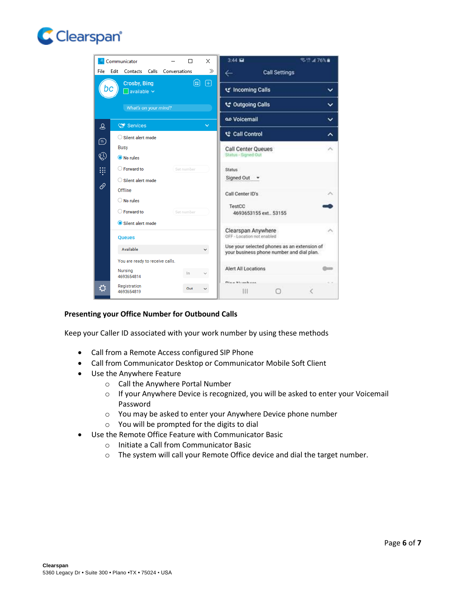



#### **Presenting your Office Number for Outbound Calls**

Keep your Caller ID associated with your work number by using these methods

- Call from a Remote Access configured SIP Phone
- Call from Communicator Desktop or Communicator Mobile Soft Client
- Use the Anywhere Feature
	- o Call the Anywhere Portal Number
	- o If your Anywhere Device is recognized, you will be asked to enter your Voicemail Password
	- o You may be asked to enter your Anywhere Device phone number
	- o You will be prompted for the digits to dial
- Use the Remote Office Feature with Communicator Basic
	- o Initiate a Call from Communicator Basic
	- o The system will call your Remote Office device and dial the target number.